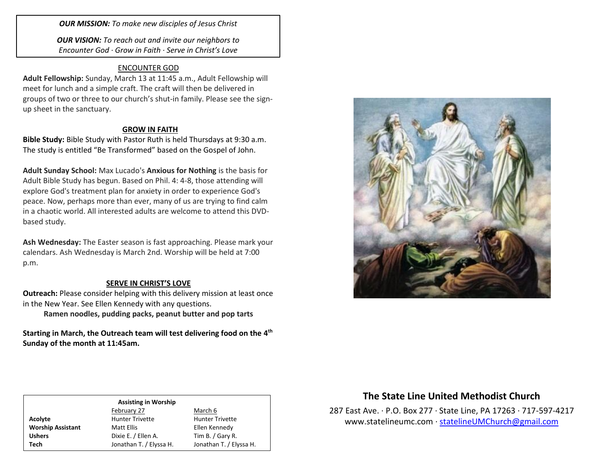*OUR MISSION: To make new disciples of Jesus Christ*

*OUR VISION: To reach out and invite our neighbors to Encounter God · Grow in Faith · Serve in Christ's Love*

## ENCOUNTER GOD

**Adult Fellowship:** Sunday, March 13 at 11:45 a.m., Adult Fellowship will meet for lunch and a simple craft. The craft will then be delivered in groups of two or three to our church's shut-in family. Please see the signup sheet in the sanctuary.

### **GROW IN FAITH**

**Bible Study:** Bible Study with Pastor Ruth is held Thursdays at 9:30 a.m. The study is entitled "Be Transformed" based on the Gospel of John.

**Adult Sunday School:** Max Lucado's **Anxious for Nothing** is the basis for Adult Bible Study has begun. Based on Phil. 4: 4-8, those attending will explore God's treatment plan for anxiety in order to experience God's peace. Now, perhaps more than ever, many of us are trying to find calm in a chaotic world. All interested adults are welcome to attend this DVDbased study.

**Ash Wednesday:** The Easter season is fast approaching. Please mark your calendars. Ash Wednesday is March 2nd. Worship will be held at 7:00 p.m.

## **SERVE IN CHRIST'S LOVE**

**Outreach:** Please consider helping with this delivery mission at least once in the New Year. See Ellen Kennedy with any questions.

**Ramen noodles, pudding packs, peanut butter and pop tarts**

Starting in March, the Outreach team will test delivering food on the 4<sup>th</sup> **Sunday of the month at 11:45am.** 



# **The State Line United Methodist Church**

287 East Ave. · P.O. Box 277 · State Line, PA 17263 · 717-597-4217 [www.statelineumc.com](http://www.statelineumc.com/) · [statelineUMChurch@gmail.com](mailto:statelineUMChurch@gmail.com)

#### **Assisting in Worship** February 27 March 6 Acolyte **Acolyte** Hunter Trivette **Hunter Trivette Worship Assistant** Matt Ellis **Matt Ellis** Ellen Kennedy

Ushers **Dixie E.** / Ellen A. Tim B. / Gary R. **Tech** Jonathan T. / Elyssa H. Jonathan T. / Elyssa H.